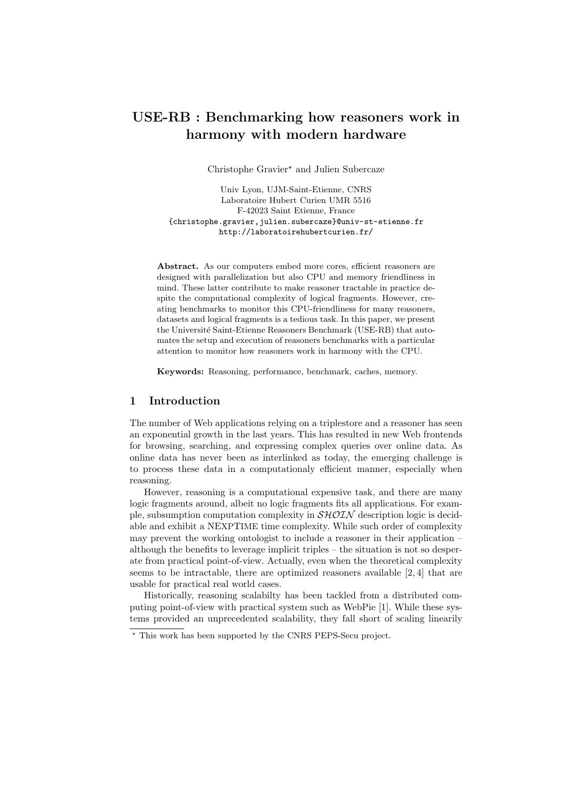# USE-RB : Benchmarking how reasoners work in harmony with modern hardware

Christophe Gravier? and Julien Subercaze

Univ Lyon, UJM-Saint-Etienne, CNRS Laboratoire Hubert Curien UMR 5516 F-42023 Saint Etienne, France {christophe.gravier,julien.subercaze}@univ-st-etienne.fr http://laboratoirehubertcurien.fr/

Abstract. As our computers embed more cores, efficient reasoners are designed with parallelization but also CPU and memory friendliness in mind. These latter contribute to make reasoner tractable in practice despite the computational complexity of logical fragments. However, creating benchmarks to monitor this CPU-friendliness for many reasoners, datasets and logical fragments is a tedious task. In this paper, we present the Université Saint-Etienne Reasoners Benchmark (USE-RB) that automates the setup and execution of reasoners benchmarks with a particular attention to monitor how reasoners work in harmony with the CPU.

Keywords: Reasoning, performance, benchmark, caches, memory.

## 1 Introduction

The number of Web applications relying on a triplestore and a reasoner has seen an exponential growth in the last years. This has resulted in new Web frontends for browsing, searching, and expressing complex queries over online data. As online data has never been as interlinked as today, the emerging challenge is to process these data in a computationaly efficient manner, especially when reasoning.

However, reasoning is a computational expensive task, and there are many logic fragments around, albeit no logic fragments fits all applications. For example, subsumption computation complexity in  $\mathcal{SHOLN}$  description logic is decidable and exhibit a NEXPTIME time complexity. While such order of complexity may prevent the working ontologist to include a reasoner in their application – although the benefits to leverage implicit triples – the situation is not so desperate from practical point-of-view. Actually, even when the theoretical complexity seems to be intractable, there are optimized reasoners available [2, 4] that are usable for practical real world cases.

Historically, reasoning scalabilty has been tackled from a distributed computing point-of-view with practical system such as WebPie [1]. While these systems provided an unprecedented scalability, they fall short of scaling linearily

<sup>?</sup> This work has been supported by the CNRS PEPS-Secu project.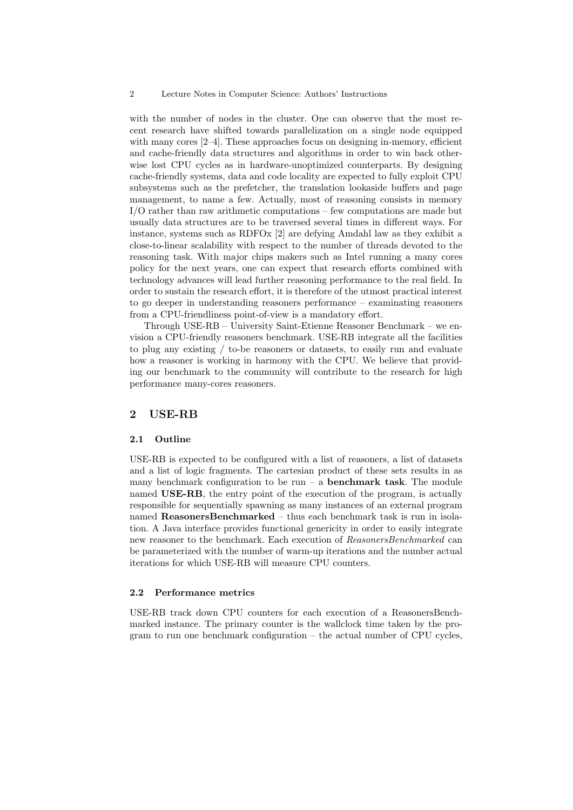#### 2 Lecture Notes in Computer Science: Authors' Instructions

with the number of nodes in the cluster. One can observe that the most recent research have shifted towards parallelization on a single node equipped with many cores [2–4]. These approaches focus on designing in-memory, efficient and cache-friendly data structures and algorithms in order to win back otherwise lost CPU cycles as in hardware-unoptimized counterparts. By designing cache-friendly systems, data and code locality are expected to fully exploit CPU subsystems such as the prefetcher, the translation lookaside buffers and page management, to name a few. Actually, most of reasoning consists in memory I/O rather than raw arithmetic computations – few computations are made but usually data structures are to be traversed several times in different ways. For instance, systems such as RDFOx [2] are defying Amdahl law as they exhibit a close-to-linear scalability with respect to the number of threads devoted to the reasoning task. With major chips makers such as Intel running a many cores policy for the next years, one can expect that research efforts combined with technology advances will lead further reasoning performance to the real field. In order to sustain the research effort, it is therefore of the utmost practical interest to go deeper in understanding reasoners performance – examinating reasoners from a CPU-friendliness point-of-view is a mandatory effort.

Through USE-RB – University Saint-Etienne Reasoner Benchmark – we envision a CPU-friendly reasoners benchmark. USE-RB integrate all the facilities to plug any existing / to-be reasoners or datasets, to easily run and evaluate how a reasoner is working in harmony with the CPU. We believe that providing our benchmark to the community will contribute to the research for high performance many-cores reasoners.

### 2 USE-RB

#### 2.1 Outline

USE-RB is expected to be configured with a list of reasoners, a list of datasets and a list of logic fragments. The cartesian product of these sets results in as many benchmark configuration to be run – a **benchmark task**. The module named USE-RB, the entry point of the execution of the program, is actually responsible for sequentially spawning as many instances of an external program named ReasonersBenchmarked – thus each benchmark task is run in isolation. A Java interface provides functional genericity in order to easily integrate new reasoner to the benchmark. Each execution of ReasonersBenchmarked can be parameterized with the number of warm-up iterations and the number actual iterations for which USE-RB will measure CPU counters.

#### 2.2 Performance metrics

USE-RB track down CPU counters for each execution of a ReasonersBenchmarked instance. The primary counter is the wallclock time taken by the program to run one benchmark configuration – the actual number of CPU cycles,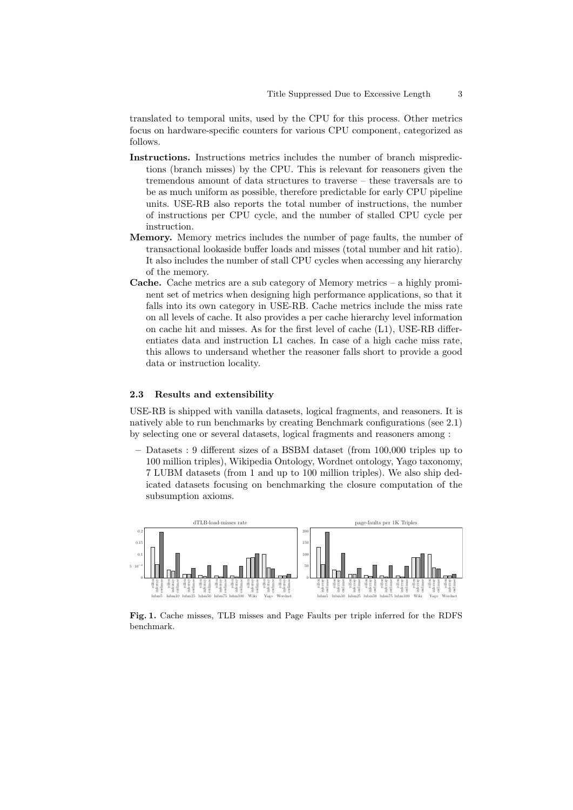translated to temporal units, used by the CPU for this process. Other metrics focus on hardware-specific counters for various CPU component, categorized as follows.

- Instructions. Instructions metrics includes the number of branch mispredictions (branch misses) by the CPU. This is relevant for reasoners given the tremendous amount of data structures to traverse – these traversals are to be as much uniform as possible, therefore predictable for early CPU pipeline units. USE-RB also reports the total number of instructions, the number of instructions per CPU cycle, and the number of stalled CPU cycle per instruction.
- Memory. Memory metrics includes the number of page faults, the number of transactional lookaside buffer loads and misses (total number and hit ratio). It also includes the number of stall CPU cycles when accessing any hierarchy of the memory.
- Cache. Cache metrics are a sub category of Memory metrics a highly prominent set of metrics when designing high performance applications, so that it falls into its own category in USE-RB. Cache metrics include the miss rate on all levels of cache. It also provides a per cache hierarchy level information on cache hit and misses. As for the first level of cache (L1), USE-RB differentiates data and instruction L1 caches. In case of a high cache miss rate, this allows to undersand whether the reasoner falls short to provide a good data or instruction locality.

### 2.3 Results and extensibility

USE-RB is shipped with vanilla datasets, logical fragments, and reasoners. It is natively able to run benchmarks by creating Benchmark configurations (see 2.1) by selecting one or several datasets, logical fragments and reasoners among :

– Datasets : 9 different sizes of a BSBM dataset (from 100,000 triples up to 100 million triples), Wikipedia Ontology, Wordnet ontology, Yago taxonomy, 7 LUBM datasets (from 1 and up to 100 million triples). We also ship dedicated datasets focusing on benchmarking the closure computation of the subsumption axioms.



Fig. 1. Cache misses, TLB misses and Page Faults per triple inferred for the RDFS benchmark.